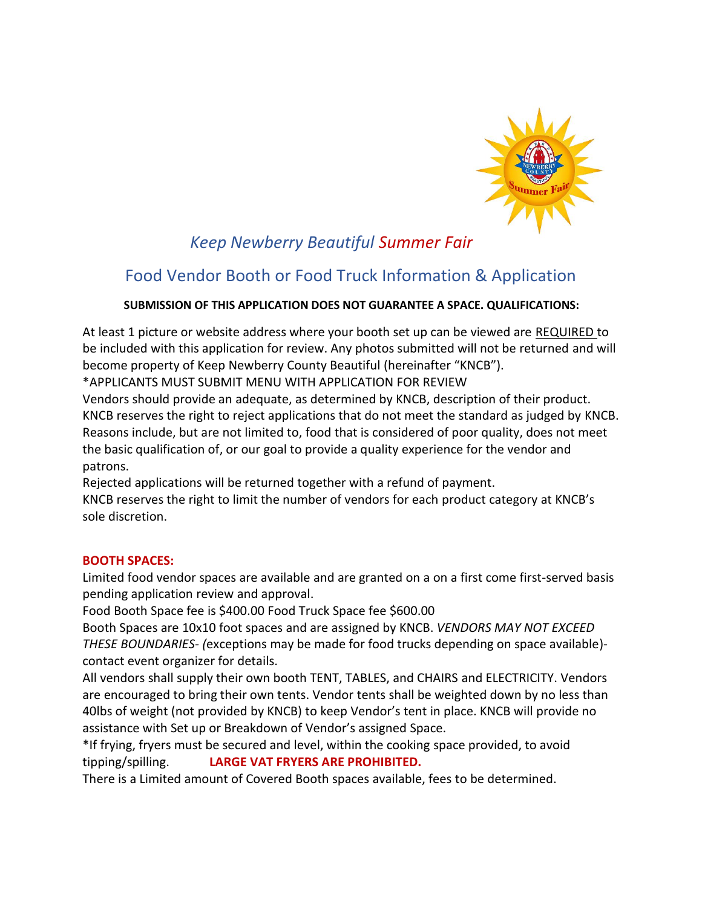

# *Keep Newberry Beautiful Summer Fair*

# Food Vendor Booth or Food Truck Information & Application

## **SUBMISSION OF THIS APPLICATION DOES NOT GUARANTEE A SPACE. QUALIFICATIONS:**

At least 1 picture or website address where your booth set up can be viewed are REQUIRED to be included with this application for review. Any photos submitted will not be returned and will become property of Keep Newberry County Beautiful (hereinafter "KNCB").

\*APPLICANTS MUST SUBMIT MENU WITH APPLICATION FOR REVIEW

Vendors should provide an adequate, as determined by KNCB, description of their product. KNCB reserves the right to reject applications that do not meet the standard as judged by KNCB. Reasons include, but are not limited to, food that is considered of poor quality, does not meet the basic qualification of, or our goal to provide a quality experience for the vendor and patrons.

Rejected applications will be returned together with a refund of payment.

KNCB reserves the right to limit the number of vendors for each product category at KNCB's sole discretion.

### **BOOTH SPACES:**

Limited food vendor spaces are available and are granted on a on a first come first-served basis pending application review and approval.

Food Booth Space fee is \$400.00 Food Truck Space fee \$600.00

Booth Spaces are 10x10 foot spaces and are assigned by KNCB. *VENDORS MAY NOT EXCEED THESE BOUNDARIES- (*exceptions may be made for food trucks depending on space available) contact event organizer for details.

All vendors shall supply their own booth TENT, TABLES, and CHAIRS and ELECTRICITY. Vendors are encouraged to bring their own tents. Vendor tents shall be weighted down by no less than 40lbs of weight (not provided by KNCB) to keep Vendor's tent in place. KNCB will provide no assistance with Set up or Breakdown of Vendor's assigned Space.

\*If frying, fryers must be secured and level, within the cooking space provided, to avoid tipping/spilling. **LARGE VAT FRYERS ARE PROHIBITED.**

There is a Limited amount of Covered Booth spaces available, fees to be determined.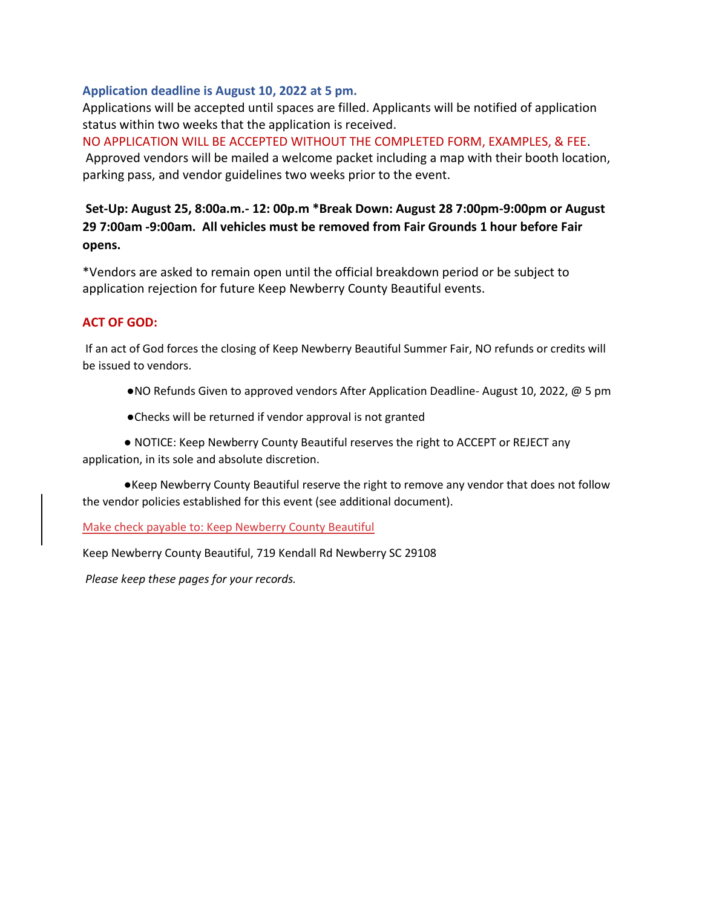### **Application deadline is August 10, 2022 at 5 pm.**

Applications will be accepted until spaces are filled. Applicants will be notified of application status within two weeks that the application is received.

NO APPLICATION WILL BE ACCEPTED WITHOUT THE COMPLETED FORM, EXAMPLES, & FEE. Approved vendors will be mailed a welcome packet including a map with their booth location, parking pass, and vendor guidelines two weeks prior to the event.

## **Set-Up: August 25, 8:00a.m.- 12: 00p.m \*Break Down: August 28 7:00pm-9:00pm or August 29 7:00am -9:00am. All vehicles must be removed from Fair Grounds 1 hour before Fair opens.**

\*Vendors are asked to remain open until the official breakdown period or be subject to application rejection for future Keep Newberry County Beautiful events.

### **ACT OF GOD:**

If an act of God forces the closing of Keep Newberry Beautiful Summer Fair, NO refunds or credits will be issued to vendors.

- ●NO Refunds Given to approved vendors After Application Deadline- August 10, 2022, @ 5 pm
- ●Checks will be returned if vendor approval is not granted

● NOTICE: Keep Newberry County Beautiful reserves the right to ACCEPT or REJECT any application, in its sole and absolute discretion.

●Keep Newberry County Beautiful reserve the right to remove any vendor that does not follow the vendor policies established for this event (see additional document).

Make check payable to: Keep Newberry County Beautiful

Keep Newberry County Beautiful, 719 Kendall Rd Newberry SC 29108

*Please keep these pages for your records.*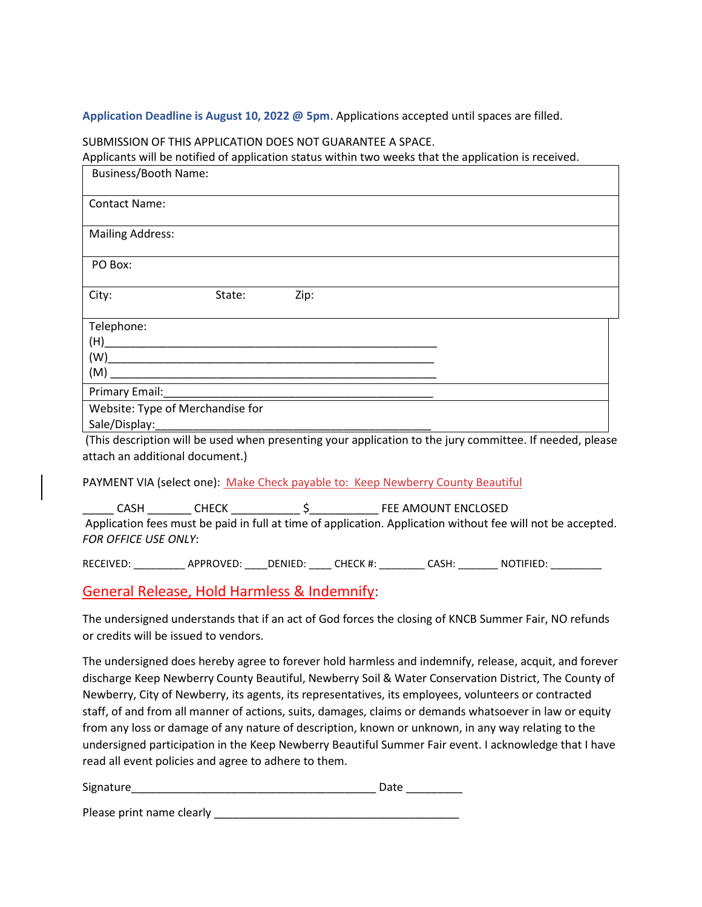#### **Application Deadline is August 10, 2022 @ 5pm**. Applications accepted until spaces are filled.

#### SUBMISSION OF THIS APPLICATION DOES NOT GUARANTEE A SPACE.

Applicants will be notified of application status within two weeks that the application is received.

| Business/Booth Name:    |                                                                                                                                                                                                                               |      |  |  |  |  |
|-------------------------|-------------------------------------------------------------------------------------------------------------------------------------------------------------------------------------------------------------------------------|------|--|--|--|--|
| <b>Contact Name:</b>    |                                                                                                                                                                                                                               |      |  |  |  |  |
| <b>Mailing Address:</b> |                                                                                                                                                                                                                               |      |  |  |  |  |
| PO Box:                 |                                                                                                                                                                                                                               |      |  |  |  |  |
| City:                   | State:                                                                                                                                                                                                                        | Zip: |  |  |  |  |
| Telephone:              |                                                                                                                                                                                                                               |      |  |  |  |  |
|                         |                                                                                                                                                                                                                               |      |  |  |  |  |
|                         | (W)                                                                                                                                                                                                                           |      |  |  |  |  |
|                         |                                                                                                                                                                                                                               |      |  |  |  |  |
|                         |                                                                                                                                                                                                                               |      |  |  |  |  |
|                         | Website: Type of Merchandise for                                                                                                                                                                                              |      |  |  |  |  |
|                         | Sale/Display: The contract of the contract of the contract of the contract of the contract of the contract of the contract of the contract of the contract of the contract of the contract of the contract of the contract of |      |  |  |  |  |
|                         | (This description will be used when presenting your application to the jury committee. If needed, please                                                                                                                      |      |  |  |  |  |

attach an additional document.)

PAYMENT VIA (select one): Make Check payable to: Keep Newberry County Beautiful

\_\_\_\_\_ CASH \_\_\_\_\_\_\_ CHECK \_\_\_\_\_\_\_\_\_\_\_ \$\_\_\_\_\_\_\_\_\_\_\_ FEE AMOUNT ENCLOSED Application fees must be paid in full at time of application. Application without fee will not be accepted. *FOR OFFICE USE ONLY*:

RECEIVED: \_\_\_\_\_\_\_\_\_\_\_ APPROVED: \_\_\_\_\_ DENIED: \_\_\_\_\_\_ CHECK #: \_\_\_\_\_\_\_\_ CASH: \_\_\_\_\_\_\_\_\_ NOTIFIED: \_\_\_\_\_\_\_\_\_

General Release, Hold Harmless & Indemnify:

The undersigned understands that if an act of God forces the closing of KNCB Summer Fair, NO refunds or credits will be issued to vendors.

The undersigned does hereby agree to forever hold harmless and indemnify, release, acquit, and forever discharge Keep Newberry County Beautiful, Newberry Soil & Water Conservation District, The County of Newberry, City of Newberry, its agents, its representatives, its employees, volunteers or contracted staff, of and from all manner of actions, suits, damages, claims or demands whatsoever in law or equity from any loss or damage of any nature of description, known or unknown, in any way relating to the undersigned participation in the Keep Newberry Beautiful Summer Fair event. I acknowledge that I have read all event policies and agree to adhere to them.

| Signature |  |
|-----------|--|
|           |  |

Please print name clearly \_\_\_\_\_\_\_\_\_\_\_\_\_\_\_\_\_\_\_\_\_\_\_\_\_\_\_\_\_\_\_\_\_\_\_\_\_\_\_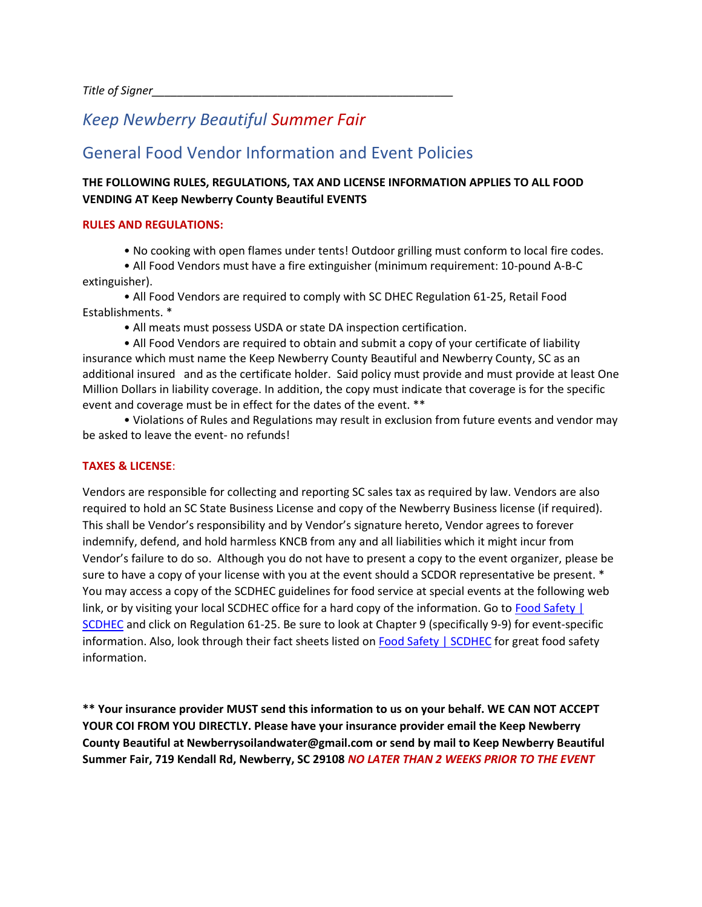# *Keep Newberry Beautiful Summer Fair*

# General Food Vendor Information and Event Policies

### **THE FOLLOWING RULES, REGULATIONS, TAX AND LICENSE INFORMATION APPLIES TO ALL FOOD VENDING AT Keep Newberry County Beautiful EVENTS**

#### **RULES AND REGULATIONS:**

• No cooking with open flames under tents! Outdoor grilling must conform to local fire codes.

• All Food Vendors must have a fire extinguisher (minimum requirement: 10-pound A-B-C extinguisher).

• All Food Vendors are required to comply with SC DHEC Regulation 61-25, Retail Food Establishments. \*

• All meats must possess USDA or state DA inspection certification.

• All Food Vendors are required to obtain and submit a copy of your certificate of liability insurance which must name the Keep Newberry County Beautiful and Newberry County, SC as an additional insured and as the certificate holder. Said policy must provide and must provide at least One Million Dollars in liability coverage. In addition, the copy must indicate that coverage is for the specific event and coverage must be in effect for the dates of the event. \*\*

• Violations of Rules and Regulations may result in exclusion from future events and vendor may be asked to leave the event- no refunds!

#### **TAXES & LICENSE**:

Vendors are responsible for collecting and reporting SC sales tax as required by law. Vendors are also required to hold an SC State Business License and copy of the Newberry Business license (if required). This shall be Vendor's responsibility and by Vendor's signature hereto, Vendor agrees to forever indemnify, defend, and hold harmless KNCB from any and all liabilities which it might incur from Vendor's failure to do so. Although you do not have to present a copy to the event organizer, please be sure to have a copy of your license with you at the event should a SCDOR representative be present. \* You may access a copy of the SCDHEC guidelines for food service at special events at the following web link, or by visiting your local SCDHEC office for a hard copy of the information. Go to Food Safety | [SCDHEC](about:blank) and click on Regulation 61-25. Be sure to look at Chapter 9 (specifically 9-9) for event-specific information. Also, look through their fact sheets listed on [Food Safety | SCDHEC](about:blank) for great food safety information.

**\*\* Your insurance provider MUST send this information to us on your behalf. WE CAN NOT ACCEPT YOUR COI FROM YOU DIRECTLY. Please have your insurance provider email the Keep Newberry County Beautiful at Newberrysoilandwater@gmail.com or send by mail to Keep Newberry Beautiful Summer Fair, 719 Kendall Rd, Newberry, SC 29108** *NO LATER THAN 2 WEEKS PRIOR TO THE EVENT*